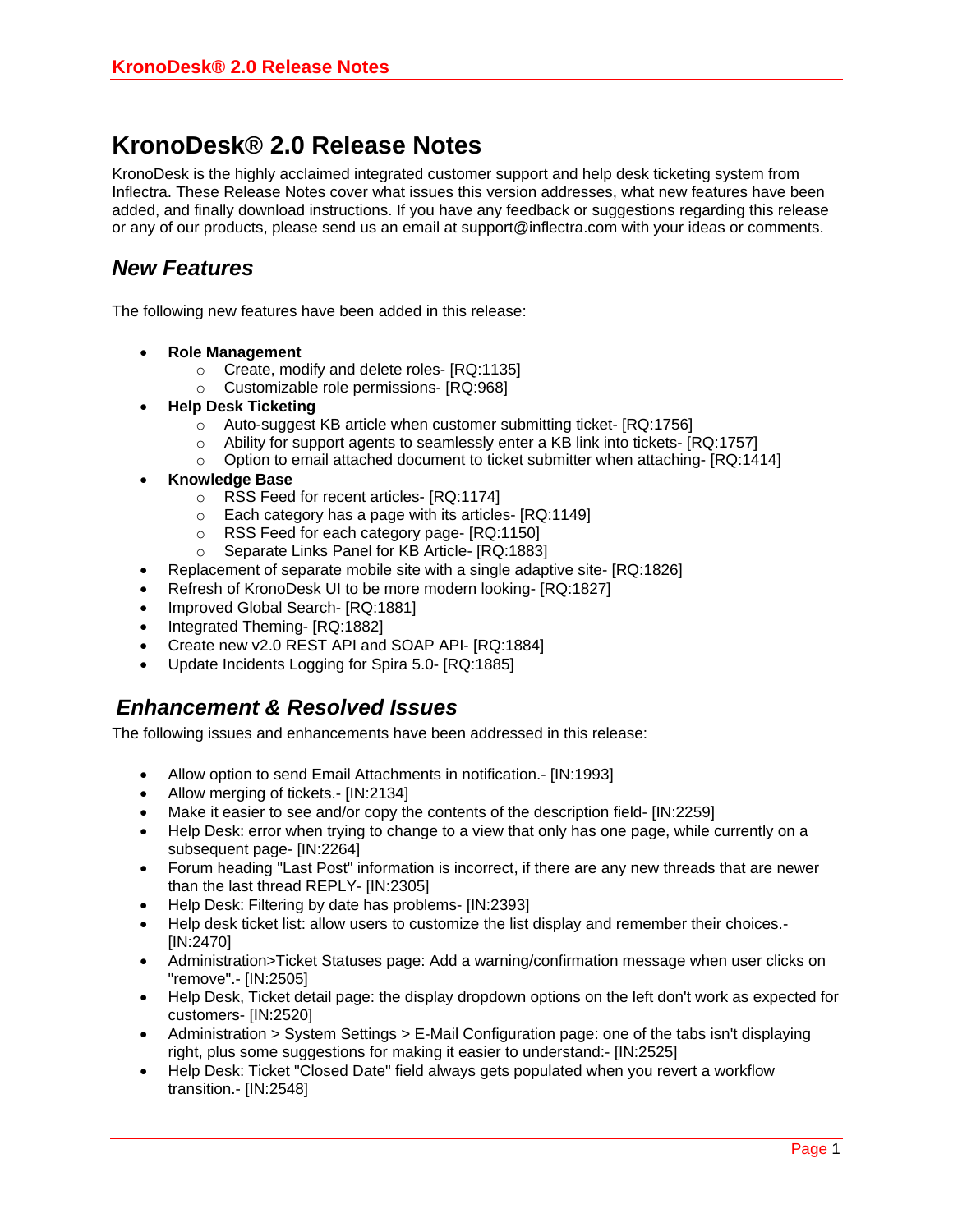## **KronoDesk® 2.0 Release Notes**

KronoDesk is the highly acclaimed integrated customer support and help desk ticketing system from Inflectra. These Release Notes cover what issues this version addresses, what new features have been added, and finally download instructions. If you have any feedback or suggestions regarding this release or any of our products, please send us an email at support@inflectra.com with your ideas or comments.

## *New Features*

The following new features have been added in this release:

- **Role Management**
	- o Create, modify and delete roles- [RQ:1135]
	- o Customizable role permissions- [RQ:968]
- **Help Desk Ticketing**
	- o Auto-suggest KB article when customer submitting ticket- [RQ:1756]
	- $\circ$  Ability for support agents to seamlessly enter a KB link into tickets-  $[RQ:1757]$
	- $\circ$  Option to email attached document to ticket submitter when attaching- [RQ:1414]
- **Knowledge Base**
	- $\circ$  RSS Feed for recent articles- [RQ:1174]<br> $\circ$  Each category has a page with its article
	- $\circ$  Each category has a page with its articles- [RQ:1149]<br> $\circ$  RSS Feed for each category page- [RQ:1150]
	- RSS Feed for each category page- [RQ:1150]
	- o Separate Links Panel for KB Article- [RQ:1883]
- Replacement of separate mobile site with a single adaptive site- [RQ:1826]
- Refresh of KronoDesk UI to be more modern looking- [RQ:1827]
- Improved Global Search- [RQ:1881]
- Integrated Theming- [RQ:1882]
- Create new v2.0 REST API and SOAP API- [RQ:1884]
- Update Incidents Logging for Spira 5.0- [RQ:1885]

## *Enhancement & Resolved Issues*

The following issues and enhancements have been addressed in this release:

- Allow option to send Email Attachments in notification.- [IN:1993]
- Allow merging of tickets.- [IN:2134]
- Make it easier to see and/or copy the contents of the description field- [IN:2259]
- Help Desk: error when trying to change to a view that only has one page, while currently on a subsequent page- [IN:2264]
- Forum heading "Last Post" information is incorrect, if there are any new threads that are newer than the last thread REPLY- [IN:2305]
- Help Desk: Filtering by date has problems- [IN:2393]
- Help desk ticket list: allow users to customize the list display and remember their choices.- [IN:2470]
- Administration>Ticket Statuses page: Add a warning/confirmation message when user clicks on "remove".- [IN:2505]
- Help Desk, Ticket detail page: the display dropdown options on the left don't work as expected for customers- [IN:2520]
- Administration > System Settings > E-Mail Configuration page: one of the tabs isn't displaying right, plus some suggestions for making it easier to understand:- [IN:2525]
- Help Desk: Ticket "Closed Date" field always gets populated when you revert a workflow transition.- [IN:2548]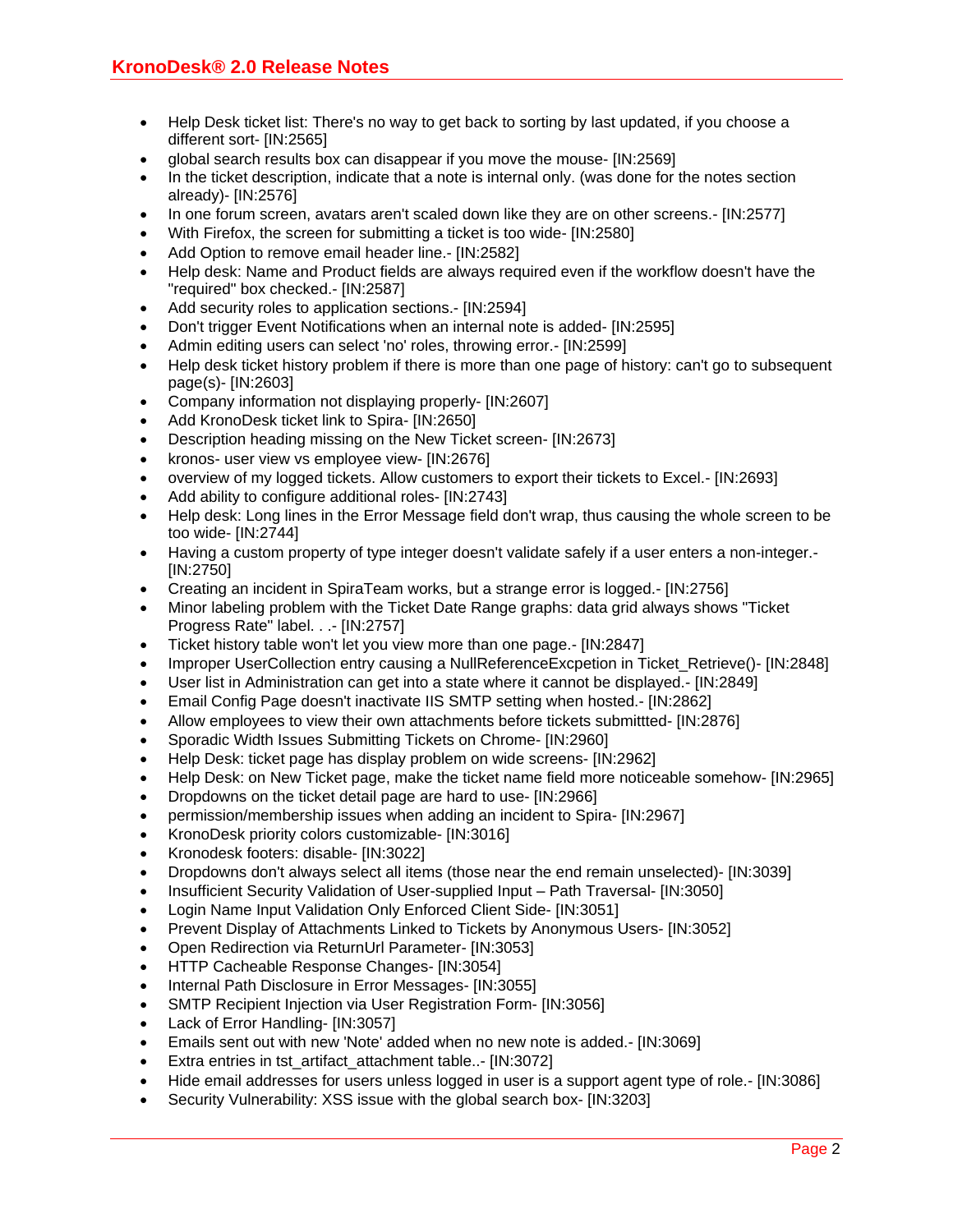- Help Desk ticket list: There's no way to get back to sorting by last updated, if you choose a different sort- [IN:2565]
- global search results box can disappear if you move the mouse- [IN:2569]
- In the ticket description, indicate that a note is internal only. (was done for the notes section already)- [IN:2576]
- In one forum screen, avatars aren't scaled down like they are on other screens.- [IN:2577]
- With Firefox, the screen for submitting a ticket is too wide- [IN:2580]
- Add Option to remove email header line.- [IN:2582]
- Help desk: Name and Product fields are always required even if the workflow doesn't have the "required" box checked.- [IN:2587]
- Add security roles to application sections.- [IN:2594]
- Don't trigger Event Notifications when an internal note is added- [IN:2595]
- Admin editing users can select 'no' roles, throwing error.- [IN:2599]
- Help desk ticket history problem if there is more than one page of history: can't go to subsequent page(s)- [IN:2603]
- Company information not displaying properly- [IN:2607]
- Add KronoDesk ticket link to Spira- [IN:2650]
- Description heading missing on the New Ticket screen- [IN:2673]
- kronos- user view vs employee view- [IN:2676]
- overview of my logged tickets. Allow customers to export their tickets to Excel.- [IN:2693]
- Add ability to configure additional roles- [IN:2743]
- Help desk: Long lines in the Error Message field don't wrap, thus causing the whole screen to be too wide- [IN:2744]
- Having a custom property of type integer doesn't validate safely if a user enters a non-integer.- [IN:2750]
- Creating an incident in SpiraTeam works, but a strange error is logged.- [IN:2756]
- Minor labeling problem with the Ticket Date Range graphs: data grid always shows "Ticket Progress Rate" label. . .- [IN:2757]
- Ticket history table won't let you view more than one page.- [IN:2847]
- Improper UserCollection entry causing a NullReferenceExcpetion in Ticket\_Retrieve()- [IN:2848]
- User list in Administration can get into a state where it cannot be displayed.- [IN:2849]
- Email Config Page doesn't inactivate IIS SMTP setting when hosted.- [IN:2862]
- Allow employees to view their own attachments before tickets submittted- [IN:2876]
- Sporadic Width Issues Submitting Tickets on Chrome- [IN:2960]
- Help Desk: ticket page has display problem on wide screens- [IN:2962]
- Help Desk: on New Ticket page, make the ticket name field more noticeable somehow- [IN:2965]
- Dropdowns on the ticket detail page are hard to use- [IN:2966]
- permission/membership issues when adding an incident to Spira- [IN:2967]
- KronoDesk priority colors customizable- [IN:3016]
- Kronodesk footers: disable- [IN:3022]
- Dropdowns don't always select all items (those near the end remain unselected)- [IN:3039]
- Insufficient Security Validation of User-supplied Input Path Traversal- [IN:3050]
- Login Name Input Validation Only Enforced Client Side- [IN:3051]
- Prevent Display of Attachments Linked to Tickets by Anonymous Users- [IN:3052]
- Open Redirection via ReturnUrl Parameter- [IN:3053]
- HTTP Cacheable Response Changes- [IN:3054]
- Internal Path Disclosure in Error Messages- [IN:3055]
- SMTP Recipient Injection via User Registration Form- [IN:3056]
- Lack of Error Handling- [IN:3057]
- Emails sent out with new 'Note' added when no new note is added.- [IN:3069]
- Extra entries in tst\_artifact\_attachment table..- [IN:3072]
- Hide email addresses for users unless logged in user is a support agent type of role.- [IN:3086]
- Security Vulnerability: XSS issue with the global search box- [IN:3203]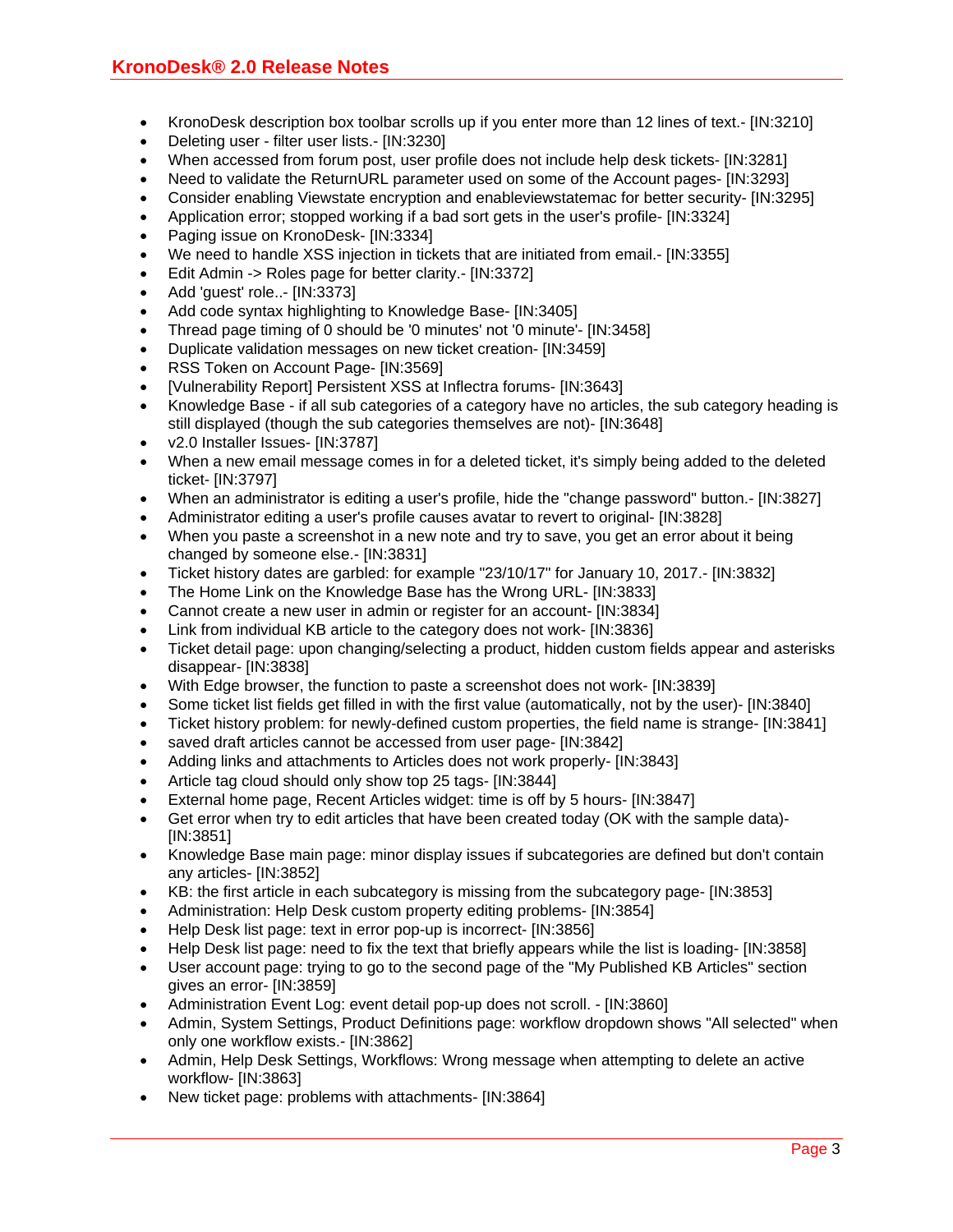- KronoDesk description box toolbar scrolls up if you enter more than 12 lines of text.- [IN:3210]
- Deleting user filter user lists.- [IN:3230]
- When accessed from forum post, user profile does not include help desk tickets- [IN:3281]
- Need to validate the ReturnURL parameter used on some of the Account pages- [IN:3293]
- Consider enabling Viewstate encryption and enableviewstatemac for better security- [IN:3295]
- Application error; stopped working if a bad sort gets in the user's profile- [IN:3324]
- Paging issue on KronoDesk- [IN:3334]
- We need to handle XSS injection in tickets that are initiated from email.- [IN:3355]
- Edit Admin -> Roles page for better clarity.- [IN:3372]
- Add 'quest' role..- [IN:3373]
- Add code syntax highlighting to Knowledge Base- [IN:3405]
- Thread page timing of 0 should be '0 minutes' not '0 minute'- [IN:3458]
- Duplicate validation messages on new ticket creation- [IN:3459]
- RSS Token on Account Page- [IN:3569]
- [Vulnerability Report] Persistent XSS at Inflectra forums- [IN:3643]
- Knowledge Base if all sub categories of a category have no articles, the sub category heading is still displayed (though the sub categories themselves are not)- [IN:3648]
- v2.0 Installer Issues- [IN:3787]
- When a new email message comes in for a deleted ticket, it's simply being added to the deleted ticket- [IN:3797]
- When an administrator is editing a user's profile, hide the "change password" button.- [IN:3827]
- Administrator editing a user's profile causes avatar to revert to original- [IN:3828]
- When you paste a screenshot in a new note and try to save, you get an error about it being changed by someone else.- [IN:3831]
- Ticket history dates are garbled: for example "23/10/17" for January 10, 2017.- [IN:3832]
- The Home Link on the Knowledge Base has the Wrong URL- [IN:3833]
- Cannot create a new user in admin or register for an account- [IN:3834]
- Link from individual KB article to the category does not work- [IN:3836]
- Ticket detail page: upon changing/selecting a product, hidden custom fields appear and asterisks disappear- [IN:3838]
- With Edge browser, the function to paste a screenshot does not work- [IN:3839]
- Some ticket list fields get filled in with the first value (automatically, not by the user)- [IN:3840]
- Ticket history problem: for newly-defined custom properties, the field name is strange- [IN:3841]
- saved draft articles cannot be accessed from user page- [IN:3842]
- Adding links and attachments to Articles does not work properly- [IN:3843]
- Article tag cloud should only show top 25 tags- [IN:3844]
- External home page, Recent Articles widget: time is off by 5 hours- [IN:3847]
- Get error when try to edit articles that have been created today (OK with the sample data)- [IN:3851]
- Knowledge Base main page: minor display issues if subcategories are defined but don't contain any articles- [IN:3852]
- KB: the first article in each subcategory is missing from the subcategory page- [IN:3853]
- Administration: Help Desk custom property editing problems- [IN:3854]
- Help Desk list page: text in error pop-up is incorrect- [IN:3856]
- Help Desk list page: need to fix the text that briefly appears while the list is loading- [IN:3858]
- User account page: trying to go to the second page of the "My Published KB Articles" section gives an error- [IN:3859]
- Administration Event Log: event detail pop-up does not scroll. [IN:3860]
- Admin, System Settings, Product Definitions page: workflow dropdown shows "All selected" when only one workflow exists.- [IN:3862]
- Admin, Help Desk Settings, Workflows: Wrong message when attempting to delete an active workflow- [IN:3863]
- New ticket page: problems with attachments- [IN:3864]